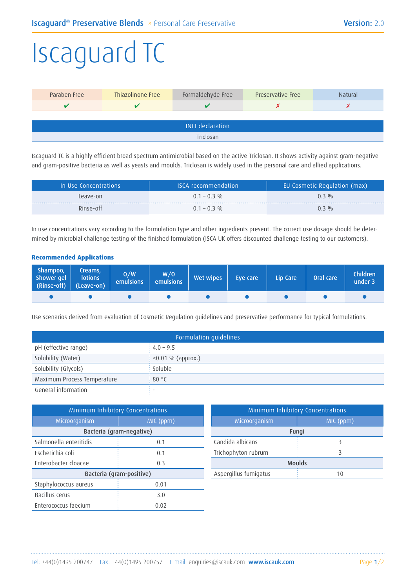## Iscaguard TC

| Paraben Free            | Thiazolinone Free | Formaldehyde Free | <b>Preservative Free</b> | Natural |  |  |
|-------------------------|-------------------|-------------------|--------------------------|---------|--|--|
| v                       |                   |                   |                          |         |  |  |
|                         |                   |                   |                          |         |  |  |
| <b>INCI declaration</b> |                   |                   |                          |         |  |  |
| Triclosan               |                   |                   |                          |         |  |  |

Iscaguard TC is a highly efficient broad spectrum antimicrobial based on the active Triclosan. It shows activity against gram-negative and gram-positive bacteria as well as yeasts and moulds. Triclosan is widely used in the personal care and allied applications.

| In Use Concentrations | <b>ISCA</b> recommendation | EU Cosmetic Regulation (max) |
|-----------------------|----------------------------|------------------------------|
| Leave-on              | $0.1 - 0.3$ %              | $0.3 \frac{0}{0}$            |
| Rinse-off             | $0.1 - 0.3$ %              | $0.3 \frac{0}{0}$            |

In use concentrations vary according to the formulation type and other ingredients present. The correct use dosage should be determined by microbial challenge testing of the finished formulation (ISCA UK offers discounted challenge testing to our customers).

## **Recommended Applications**

| Shampoo,<br>Shower gel<br>(Rinse-off) (Leave-on) | Creams,<br><b>lotions</b> | 0/W<br><b>emulsions</b> | W/O<br>emulsions | Wet wipes | Eye care | Lip Care | Oral care | <b>Children</b><br>under 3 |
|--------------------------------------------------|---------------------------|-------------------------|------------------|-----------|----------|----------|-----------|----------------------------|
|                                                  |                           |                         |                  |           |          |          |           |                            |

Use scenarios derived from evaluation of Cosmetic Regulation guidelines and preservative performance for typical formulations.

| Formulation guidelines      |                                 |  |  |
|-----------------------------|---------------------------------|--|--|
| pH (effective range)        | $: 4.0 - 9.5$                   |  |  |
| Solubility (Water)          | $\frac{1}{2}$ <0.01 % (approx.) |  |  |
| Solubility (Glycols)        | $\frac{1}{2}$ Soluble           |  |  |
| Maximum Process Temperature | :80 °C                          |  |  |
| General information         |                                 |  |  |

| Minimum Inhibitory Concentrations |           |  |  |  |  |
|-----------------------------------|-----------|--|--|--|--|
| Microorganism                     | MIC (ppm) |  |  |  |  |
| Bacteria (gram-negative)          |           |  |  |  |  |
| Salmonella enteritidis            | 0.1       |  |  |  |  |
| Escherichia coli                  | 0.1       |  |  |  |  |
| Enterobacter cloacae              | 0.3       |  |  |  |  |
| Bacteria (gram-positive)          |           |  |  |  |  |
| Staphylococcus aureus             | 0.01      |  |  |  |  |
| Bacillus cerus                    | 3.0       |  |  |  |  |
| Enterococcus faecium              | 0.02      |  |  |  |  |

| Minimum Inhibitory Concentrations |   |  |  |  |  |
|-----------------------------------|---|--|--|--|--|
| Microorganism<br>MIC (ppm)        |   |  |  |  |  |
| Fungi                             |   |  |  |  |  |
| Candida albicans                  |   |  |  |  |  |
| Trichophyton rubrum               | 3 |  |  |  |  |
| <b>Moulds</b>                     |   |  |  |  |  |
| Aspergillus fumigatus<br>10       |   |  |  |  |  |